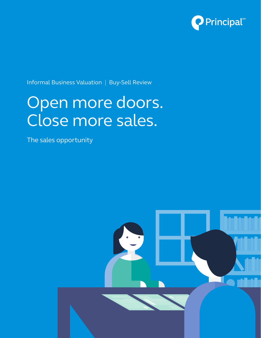

Informal Business Valuation | Buy-Sell Review

# Open more doors. Close more sales.

The sales opportunity

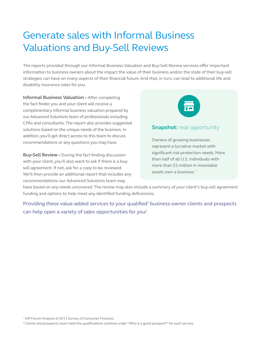# Generate sales with Informal Business Valuations and Buy-Sell Reviews

The reports provided through our Informal Business Valuation and Buy-Sell Review services offer important information to business owners about the impact the value of their business and/or the state of their buy-sell strategies can have on many aspects of their financial future. And that, in turn, can lead to additional life and disability insurance sales for you.

**Informal Business Valuation - After completing** the fact finder, you and your client will receive a complimentary informal business valuation prepared by our Advanced Solutions team of professionals including CPAs and consultants. The report also provides suggested solutions based on the unique needs of the business. In addition, you'll get direct access to this team to discuss recommendations or any questions you may have.

**Buy-Sell Review –** During the fact finding discussion with your client, you'll also want to ask if there is a buysell agreement. If not, ask for a copy to be reviewed. We'll then provide an additional report that includes any recommendations our Advanced Solutions team may



### **Snapshot:** real opportunity

Owners of growing businesses represent a lucrative market with significant risk-protection needs. More than half of all U.S. individuals with more than \$3 million in investable assets own a business.<sup>1</sup>

have based on any needs uncovered. The review may also include a summary of your client's buy-sell agreement funding and options to help meet any identified funding deficiencies.

Providing these value-added services to your qualified<sup>2</sup> business-owner clients and prospects can help open a variety of sales opportunities for you!

<sup>1</sup> VIP Forum Analysis of 2013 Survey of Consumer Finances.

<sup>2</sup> Clients and prospects must meet the qualifications outlined under "Who is a good prospect?" for each service.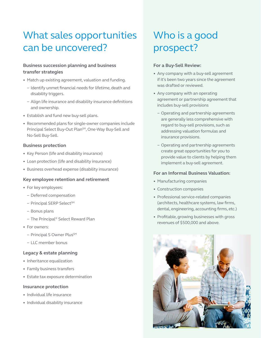# What sales opportunities can be uncovered?

### **Business succession planning and business transfer strategies**

- Match up existing agreement, valuation and funding.
	- − Identify unmet financial needs for lifetime, death and disability triggers.
	- − Align life insurance and disability insurance definitions and ownership.
- Establish and fund new buy-sell plans.
- Recommended plans for single-owner companies include Principal Select Buy-Out Plan<sup>SM</sup>, One-Way Buy-Sell and No-Sell Buy-Sell.

### **Business protection**

- Key Person (life and disability insurance)
- Loan protection (life and disability insurance)
- Business overhead expense (disability insurance)

### **Key employee retention and retirement**

- For key employees:
	- − Deferred compensation
	- − Principal SERP SelectSM
	- − Bonus plans
	- − The Principal® Select Reward Plan
- For owners:
	- − Principal S Owner PlusSM
	- − LLC member bonus

### **Legacy & estate planning**

- Inheritance equalization
- Family business transfers
- Estate tax exposure determination

### **Insurance protection**

- Individual life insurance
- Individual disability insurance

# Who is a good prospect?

### **For a Buy-Sell Review:**

- Any company with a buy-sell agreement if it's been two years since the agreement was drafted or reviewed.
- Any company with an operating agreement or partnership agreement that includes buy-sell provisions
	- − Operating and partnership agreements are generally less comprehensive with regard to buy-sell provisions, such as addressing valuation formulas and insurance provisions.
	- − Operating and partnership agreements create great opportunities for you to provide value to clients by helping them implement a buy-sell agreement.

### **For an Informal Business Valuation**:

- Manufacturing companies
- Construction companies
- Professional service-related companies (architects, healthcare systems, law firms, dental, engineering, accounting firms, etc.)
- Profitable, growing businesses with gross revenues of \$500,000 and above.